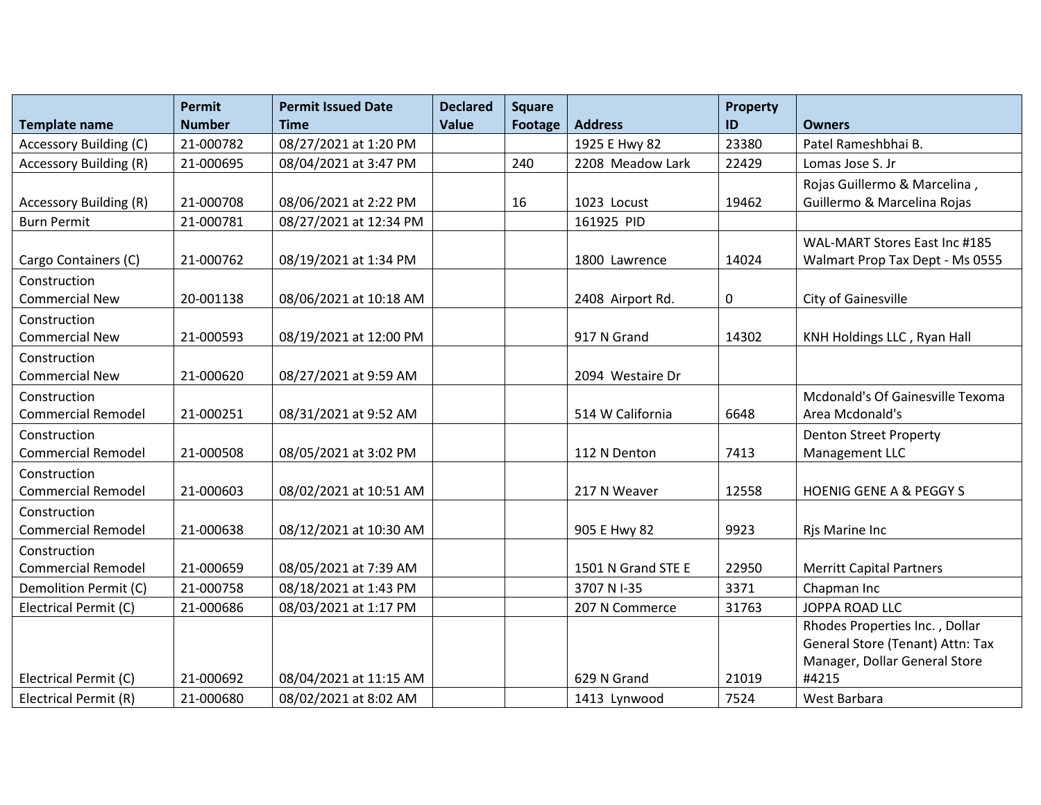|                               | <b>Permit</b> | <b>Permit Issued Date</b> | <b>Declared</b> | <b>Square</b> |                    | <b>Property</b> |                                    |
|-------------------------------|---------------|---------------------------|-----------------|---------------|--------------------|-----------------|------------------------------------|
| <b>Template name</b>          | <b>Number</b> | <b>Time</b>               | <b>Value</b>    | Footage       | <b>Address</b>     | ID              | <b>Owners</b>                      |
| <b>Accessory Building (C)</b> | 21-000782     | 08/27/2021 at 1:20 PM     |                 |               | 1925 E Hwy 82      | 23380           | Patel Rameshbhai B.                |
| <b>Accessory Building (R)</b> | 21-000695     | 08/04/2021 at 3:47 PM     |                 | 240           | 2208 Meadow Lark   | 22429           | Lomas Jose S. Jr                   |
|                               |               |                           |                 |               |                    |                 | Rojas Guillermo & Marcelina,       |
| <b>Accessory Building (R)</b> | 21-000708     | 08/06/2021 at 2:22 PM     |                 | 16            | 1023 Locust        | 19462           | Guillermo & Marcelina Rojas        |
| <b>Burn Permit</b>            | 21-000781     | 08/27/2021 at 12:34 PM    |                 |               | 161925 PID         |                 |                                    |
|                               |               |                           |                 |               |                    |                 | WAL-MART Stores East Inc #185      |
| Cargo Containers (C)          | 21-000762     | 08/19/2021 at 1:34 PM     |                 |               | 1800 Lawrence      | 14024           | Walmart Prop Tax Dept - Ms 0555    |
| Construction                  |               |                           |                 |               |                    |                 |                                    |
| <b>Commercial New</b>         | 20-001138     | 08/06/2021 at 10:18 AM    |                 |               | 2408 Airport Rd.   | 0               | City of Gainesville                |
| Construction                  |               |                           |                 |               |                    |                 |                                    |
| <b>Commercial New</b>         | 21-000593     | 08/19/2021 at 12:00 PM    |                 |               | 917 N Grand        | 14302           | KNH Holdings LLC, Ryan Hall        |
| Construction                  |               |                           |                 |               |                    |                 |                                    |
| <b>Commercial New</b>         | 21-000620     | 08/27/2021 at 9:59 AM     |                 |               | 2094 Westaire Dr   |                 |                                    |
| Construction                  |               |                           |                 |               |                    |                 | Mcdonald's Of Gainesville Texoma   |
| <b>Commercial Remodel</b>     | 21-000251     | 08/31/2021 at 9:52 AM     |                 |               | 514 W California   | 6648            | Area Mcdonald's                    |
| Construction                  |               |                           |                 |               |                    |                 | <b>Denton Street Property</b>      |
| <b>Commercial Remodel</b>     | 21-000508     | 08/05/2021 at 3:02 PM     |                 |               | 112 N Denton       | 7413            | Management LLC                     |
| Construction                  |               |                           |                 |               |                    |                 |                                    |
| <b>Commercial Remodel</b>     | 21-000603     | 08/02/2021 at 10:51 AM    |                 |               | 217 N Weaver       | 12558           | <b>HOENIG GENE A &amp; PEGGY S</b> |
| Construction                  |               |                           |                 |               |                    |                 |                                    |
| <b>Commercial Remodel</b>     | 21-000638     | 08/12/2021 at 10:30 AM    |                 |               | 905 E Hwy 82       | 9923            | Rjs Marine Inc                     |
| Construction                  |               |                           |                 |               |                    |                 |                                    |
| <b>Commercial Remodel</b>     | 21-000659     | 08/05/2021 at 7:39 AM     |                 |               | 1501 N Grand STE E | 22950           | <b>Merritt Capital Partners</b>    |
| Demolition Permit (C)         | 21-000758     | 08/18/2021 at 1:43 PM     |                 |               | 3707 N I-35        | 3371            | Chapman Inc                        |
| Electrical Permit (C)         | 21-000686     | 08/03/2021 at 1:17 PM     |                 |               | 207 N Commerce     | 31763           | <b>JOPPA ROAD LLC</b>              |
|                               |               |                           |                 |               |                    |                 | Rhodes Properties Inc., Dollar     |
|                               |               |                           |                 |               |                    |                 | General Store (Tenant) Attn: Tax   |
|                               |               |                           |                 |               |                    |                 | Manager, Dollar General Store      |
| Electrical Permit (C)         | 21-000692     | 08/04/2021 at 11:15 AM    |                 |               | 629 N Grand        | 21019           | #4215                              |
| Electrical Permit (R)         | 21-000680     | 08/02/2021 at 8:02 AM     |                 |               | 1413 Lynwood       | 7524            | West Barbara                       |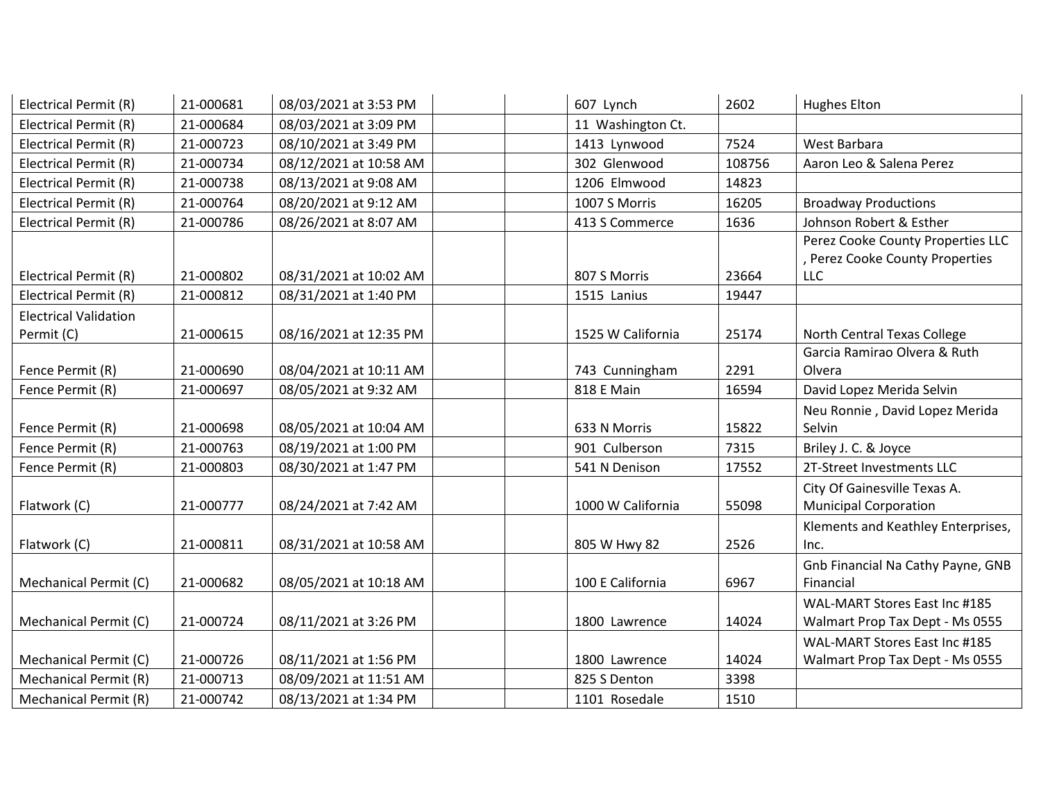| Electrical Permit (R)        | 21-000681 | 08/03/2021 at 3:53 PM  | 607 Lynch         | 2602   | Hughes Elton                       |
|------------------------------|-----------|------------------------|-------------------|--------|------------------------------------|
| Electrical Permit (R)        | 21-000684 | 08/03/2021 at 3:09 PM  | 11 Washington Ct. |        |                                    |
| Electrical Permit (R)        | 21-000723 | 08/10/2021 at 3:49 PM  | 1413 Lynwood      | 7524   | West Barbara                       |
| Electrical Permit (R)        | 21-000734 | 08/12/2021 at 10:58 AM | 302 Glenwood      | 108756 | Aaron Leo & Salena Perez           |
| Electrical Permit (R)        | 21-000738 | 08/13/2021 at 9:08 AM  | 1206 Elmwood      | 14823  |                                    |
| Electrical Permit (R)        | 21-000764 | 08/20/2021 at 9:12 AM  | 1007 S Morris     | 16205  | <b>Broadway Productions</b>        |
| Electrical Permit (R)        | 21-000786 | 08/26/2021 at 8:07 AM  | 413 S Commerce    | 1636   | Johnson Robert & Esther            |
|                              |           |                        |                   |        | Perez Cooke County Properties LLC  |
|                              |           |                        |                   |        | , Perez Cooke County Properties    |
| Electrical Permit (R)        | 21-000802 | 08/31/2021 at 10:02 AM | 807 S Morris      | 23664  | <b>LLC</b>                         |
| Electrical Permit (R)        | 21-000812 | 08/31/2021 at 1:40 PM  | 1515 Lanius       | 19447  |                                    |
| <b>Electrical Validation</b> |           |                        |                   |        |                                    |
| Permit (C)                   | 21-000615 | 08/16/2021 at 12:35 PM | 1525 W California | 25174  | North Central Texas College        |
|                              |           |                        |                   |        | Garcia Ramirao Olvera & Ruth       |
| Fence Permit (R)             | 21-000690 | 08/04/2021 at 10:11 AM | 743 Cunningham    | 2291   | Olvera                             |
| Fence Permit (R)             | 21-000697 | 08/05/2021 at 9:32 AM  | 818 E Main        | 16594  | David Lopez Merida Selvin          |
|                              |           |                        |                   |        | Neu Ronnie, David Lopez Merida     |
| Fence Permit (R)             | 21-000698 | 08/05/2021 at 10:04 AM | 633 N Morris      | 15822  | Selvin                             |
| Fence Permit (R)             | 21-000763 | 08/19/2021 at 1:00 PM  | 901 Culberson     | 7315   | Briley J. C. & Joyce               |
| Fence Permit (R)             | 21-000803 | 08/30/2021 at 1:47 PM  | 541 N Denison     | 17552  | 2T-Street Investments LLC          |
|                              |           |                        |                   |        | City Of Gainesville Texas A.       |
| Flatwork (C)                 | 21-000777 | 08/24/2021 at 7:42 AM  | 1000 W California | 55098  | <b>Municipal Corporation</b>       |
|                              |           |                        |                   |        | Klements and Keathley Enterprises, |
| Flatwork (C)                 | 21-000811 | 08/31/2021 at 10:58 AM | 805 W Hwy 82      | 2526   | Inc.                               |
|                              |           |                        |                   |        | Gnb Financial Na Cathy Payne, GNB  |
| Mechanical Permit (C)        | 21-000682 | 08/05/2021 at 10:18 AM | 100 E California  | 6967   | Financial                          |
|                              |           |                        |                   |        | WAL-MART Stores East Inc #185      |
| Mechanical Permit (C)        | 21-000724 | 08/11/2021 at 3:26 PM  | 1800 Lawrence     | 14024  | Walmart Prop Tax Dept - Ms 0555    |
|                              |           |                        |                   |        | WAL-MART Stores East Inc #185      |
| Mechanical Permit (C)        | 21-000726 | 08/11/2021 at 1:56 PM  | 1800 Lawrence     | 14024  | Walmart Prop Tax Dept - Ms 0555    |
| Mechanical Permit (R)        | 21-000713 | 08/09/2021 at 11:51 AM | 825 S Denton      | 3398   |                                    |
| Mechanical Permit (R)        | 21-000742 | 08/13/2021 at 1:34 PM  | 1101 Rosedale     | 1510   |                                    |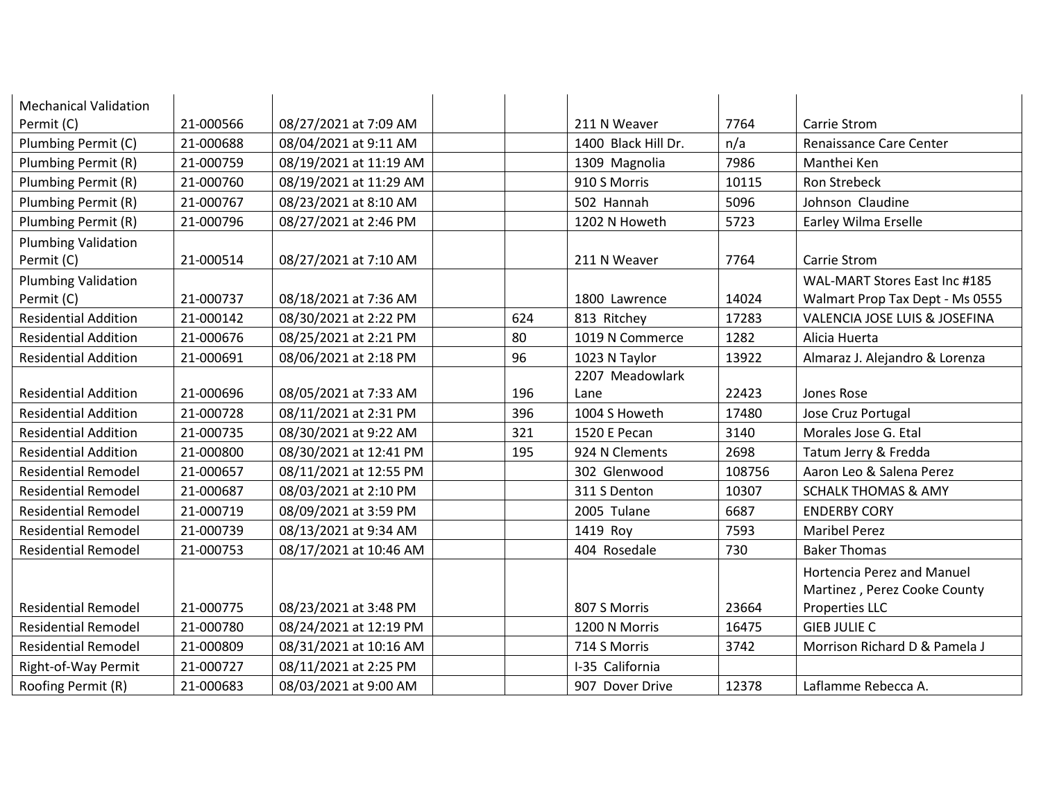| <b>Mechanical Validation</b>             |           |                        |     |                     |        |                                                            |
|------------------------------------------|-----------|------------------------|-----|---------------------|--------|------------------------------------------------------------|
| Permit (C)                               | 21-000566 | 08/27/2021 at 7:09 AM  |     | 211 N Weaver        | 7764   | Carrie Strom                                               |
| Plumbing Permit (C)                      | 21-000688 | 08/04/2021 at 9:11 AM  |     | 1400 Black Hill Dr. | n/a    | Renaissance Care Center                                    |
| Plumbing Permit (R)                      | 21-000759 | 08/19/2021 at 11:19 AM |     | 1309 Magnolia       | 7986   | Manthei Ken                                                |
| Plumbing Permit (R)                      | 21-000760 | 08/19/2021 at 11:29 AM |     | 910 S Morris        | 10115  | Ron Strebeck                                               |
| Plumbing Permit (R)                      | 21-000767 | 08/23/2021 at 8:10 AM  |     | 502 Hannah          | 5096   | Johnson Claudine                                           |
| Plumbing Permit (R)                      | 21-000796 | 08/27/2021 at 2:46 PM  |     | 1202 N Howeth       | 5723   | Earley Wilma Erselle                                       |
| <b>Plumbing Validation</b><br>Permit (C) | 21-000514 | 08/27/2021 at 7:10 AM  |     | 211 N Weaver        | 7764   | Carrie Strom                                               |
| <b>Plumbing Validation</b>               |           |                        |     |                     |        | WAL-MART Stores East Inc #185                              |
| Permit (C)                               | 21-000737 | 08/18/2021 at 7:36 AM  |     | 1800 Lawrence       | 14024  | Walmart Prop Tax Dept - Ms 0555                            |
| <b>Residential Addition</b>              | 21-000142 | 08/30/2021 at 2:22 PM  | 624 | 813 Ritchey         | 17283  | VALENCIA JOSE LUIS & JOSEFINA                              |
| <b>Residential Addition</b>              | 21-000676 | 08/25/2021 at 2:21 PM  | 80  | 1019 N Commerce     | 1282   | Alicia Huerta                                              |
| <b>Residential Addition</b>              | 21-000691 | 08/06/2021 at 2:18 PM  | 96  | 1023 N Taylor       | 13922  | Almaraz J. Alejandro & Lorenza                             |
|                                          |           |                        |     | 2207 Meadowlark     |        |                                                            |
| <b>Residential Addition</b>              | 21-000696 | 08/05/2021 at 7:33 AM  | 196 | Lane                | 22423  | Jones Rose                                                 |
| <b>Residential Addition</b>              | 21-000728 | 08/11/2021 at 2:31 PM  | 396 | 1004 S Howeth       | 17480  | Jose Cruz Portugal                                         |
| <b>Residential Addition</b>              | 21-000735 | 08/30/2021 at 9:22 AM  | 321 | 1520 E Pecan        | 3140   | Morales Jose G. Etal                                       |
| <b>Residential Addition</b>              | 21-000800 | 08/30/2021 at 12:41 PM | 195 | 924 N Clements      | 2698   | Tatum Jerry & Fredda                                       |
| <b>Residential Remodel</b>               | 21-000657 | 08/11/2021 at 12:55 PM |     | 302 Glenwood        | 108756 | Aaron Leo & Salena Perez                                   |
| <b>Residential Remodel</b>               | 21-000687 | 08/03/2021 at 2:10 PM  |     | 311 S Denton        | 10307  | <b>SCHALK THOMAS &amp; AMY</b>                             |
| <b>Residential Remodel</b>               | 21-000719 | 08/09/2021 at 3:59 PM  |     | 2005 Tulane         | 6687   | <b>ENDERBY CORY</b>                                        |
| <b>Residential Remodel</b>               | 21-000739 | 08/13/2021 at 9:34 AM  |     | 1419 Roy            | 7593   | <b>Maribel Perez</b>                                       |
| <b>Residential Remodel</b>               | 21-000753 | 08/17/2021 at 10:46 AM |     | 404 Rosedale        | 730    | <b>Baker Thomas</b>                                        |
|                                          |           |                        |     |                     |        | Hortencia Perez and Manuel<br>Martinez, Perez Cooke County |
| <b>Residential Remodel</b>               | 21-000775 | 08/23/2021 at 3:48 PM  |     | 807 S Morris        | 23664  | Properties LLC                                             |
| <b>Residential Remodel</b>               | 21-000780 | 08/24/2021 at 12:19 PM |     | 1200 N Morris       | 16475  | <b>GIEB JULIE C</b>                                        |
| <b>Residential Remodel</b>               | 21-000809 | 08/31/2021 at 10:16 AM |     | 714 S Morris        | 3742   | Morrison Richard D & Pamela J                              |
| Right-of-Way Permit                      | 21-000727 | 08/11/2021 at 2:25 PM  |     | I-35 California     |        |                                                            |
| Roofing Permit (R)                       | 21-000683 | 08/03/2021 at 9:00 AM  |     | 907 Dover Drive     | 12378  | Laflamme Rebecca A.                                        |